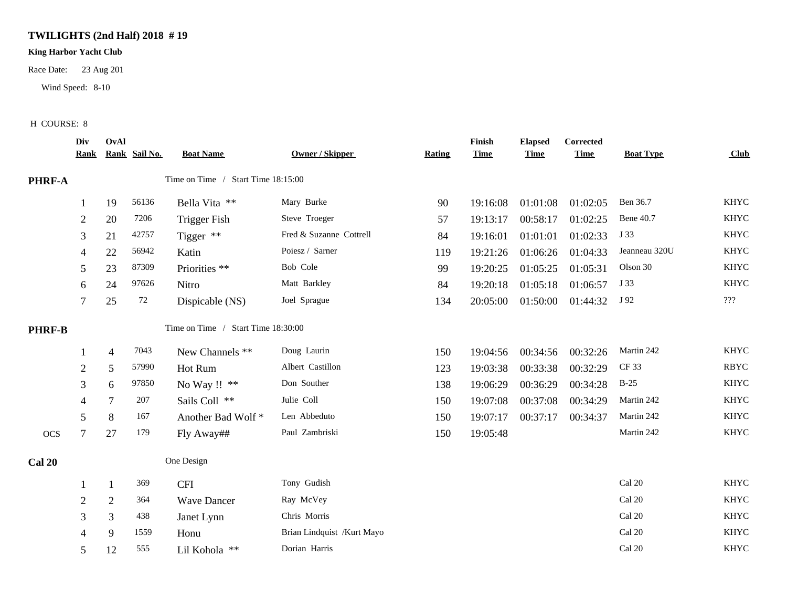## **TWILIGHTS (2nd Half) 2018 # 19**

## **King Harbor Yacht Club**

Race Date: 23 Aug 201

Wind Speed: 8-10

## H COURSE: 8

|               | Div<br><u>Rank</u> | OvAl           | Rank Sail No. | <b>Boat Name</b>                   | <b>Owner / Skipper</b>     | <b>Rating</b> | Finish<br><b>Time</b> | <b>Elapsed</b><br><b>Time</b> | Corrected<br><b>Time</b> | <b>Boat Type</b> | Club        |
|---------------|--------------------|----------------|---------------|------------------------------------|----------------------------|---------------|-----------------------|-------------------------------|--------------------------|------------------|-------------|
| PHRF-A        |                    |                |               | Time on Time / Start Time 18:15:00 |                            |               |                       |                               |                          |                  |             |
|               | -1                 | 19             | 56136         | Bella Vita **                      | Mary Burke                 | 90            | 19:16:08              | 01:01:08                      | 01:02:05                 | Ben 36.7         | <b>KHYC</b> |
|               | $\overline{c}$     | 20             | 7206          | <b>Trigger Fish</b>                | Steve Troeger              | 57            | 19:13:17              | 00:58:17                      | 01:02:25                 | <b>Bene 40.7</b> | <b>KHYC</b> |
|               | 3                  | 21             | 42757         | Tigger **                          | Fred & Suzanne Cottrell    | 84            | 19:16:01              | 01:01:01                      | 01:02:33                 | J 33             | <b>KHYC</b> |
|               |                    | 22             | 56942         | Katin                              | Poiesz / Sarner            | 119           | 19:21:26              | 01:06:26                      | 01:04:33                 | Jeanneau 320U    | <b>KHYC</b> |
|               | 5                  | 23             | 87309         | Priorities **                      | Bob Cole                   | 99            | 19:20:25              | 01:05:25                      | 01:05:31                 | Olson 30         | <b>KHYC</b> |
|               | 6                  | 24             | 97626         | Nitro                              | Matt Barkley               | 84            | 19:20:18              | 01:05:18                      | 01:06:57                 | J 33             | <b>KHYC</b> |
|               | 7                  | $25\,$         | 72            | Dispicable (NS)                    | Joel Sprague               | 134           | 20:05:00              | 01:50:00                      | 01:44:32                 | J 92             | ???         |
| <b>PHRF-B</b> |                    |                |               | Time on Time / Start Time 18:30:00 |                            |               |                       |                               |                          |                  |             |
|               |                    | $\overline{4}$ | 7043          | New Channels **                    | Doug Laurin                | 150           | 19:04:56              | 00:34:56                      | 00:32:26                 | Martin 242       | <b>KHYC</b> |
|               | $\overline{2}$     | 5              | 57990         | Hot Rum                            | Albert Castillon           | 123           | 19:03:38              | 00:33:38                      | 00:32:29                 | CF 33            | <b>RBYC</b> |
|               | 3                  | 6              | 97850         | No Way !! **                       | Don Souther                | 138           | 19:06:29              | 00:36:29                      | 00:34:28                 | $B-25$           | <b>KHYC</b> |
|               |                    | $\tau$         | 207           | Sails Coll **                      | Julie Coll                 | 150           | 19:07:08              | 00:37:08                      | 00:34:29                 | Martin 242       | <b>KHYC</b> |
|               | 5                  | 8              | 167           | Another Bad Wolf*                  | Len Abbeduto               | 150           | 19:07:17              | 00:37:17                      | 00:34:37                 | Martin 242       | <b>KHYC</b> |
| <b>OCS</b>    |                    | 27             | 179           | Fly Away##                         | Paul Zambriski             | 150           | 19:05:48              |                               |                          | Martin 242       | <b>KHYC</b> |
| <b>Cal 20</b> |                    |                |               | One Design                         |                            |               |                       |                               |                          |                  |             |
|               |                    | $\mathbf{1}$   | 369           | <b>CFI</b>                         | Tony Gudish                |               |                       |                               |                          | Cal 20           | <b>KHYC</b> |
|               | 2                  | $\overline{2}$ | 364           | <b>Wave Dancer</b>                 | Ray McVey                  |               |                       |                               |                          | Cal 20           | <b>KHYC</b> |
|               | 3                  | 3              | 438           | Janet Lynn                         | Chris Morris               |               |                       |                               |                          | Cal 20           | <b>KHYC</b> |
|               | 4                  | 9              | 1559          | Honu                               | Brian Lindquist /Kurt Mayo |               |                       |                               |                          | Cal 20           | <b>KHYC</b> |
|               | 5                  | 12             | 555           | Lil Kohola **                      | Dorian Harris              |               |                       |                               |                          | Cal 20           | <b>KHYC</b> |